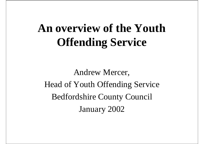## **An overview of the Youth Offending Service**

Andrew Mercer, Head of Youth Offending Service Bedfordshire County Council January 2002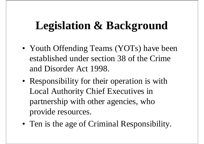### **Legislation & Background**

- Youth Offending Teams (YOTs) have been established under section 38 of the Crime and Disorder Act 1998.
- Responsibility for their operation is with Local Authority Chief Executives in partnership with other agencies, who provide resources.
- Ten is the age of Criminal Responsibility.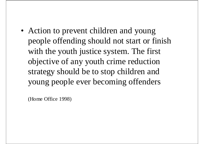• Action to prevent children and young people offending should not start or finish with the youth justice system. The first objective of any youth crime reduction strategy should be to stop children and young people ever becoming offenders

(Home Office 1998)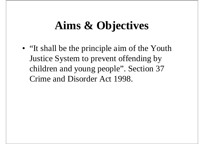### **Aims & Objectives**

• "It shall be the principle aim of the Youth Justice System to prevent offending by children and young people". Section 37 Crime and Disorder Act 1998.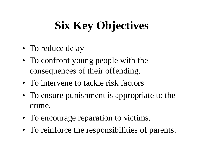# **Six Key Objectives**

- To reduce delay
- To confront young people with the consequences of their offending.
- To intervene to tackle risk factors
- To ensure punishment is appropriate to the crime.
- To encourage reparation to victims.
- To reinforce the responsibilities of parents.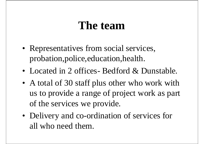#### **The team**

- Representatives from social services, probation,police,education,health.
- Located in 2 offices- Bedford & Dunstable.
- A total of 30 staff plus other who work with us to provide a range of project work as part of the services we provide.
- Delivery and co-ordination of services for all who need them.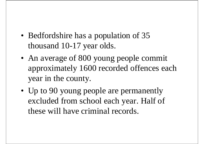- Bedfordshire has a population of 35 thousand 10-17 year olds.
- An average of 800 young people commit approximately 1600 recorded offences each year in the county.
- Up to 90 young people are permanently excluded from school each year. Half of these will have criminal records.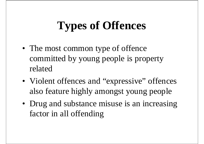## **Types of Offences**

- The most common type of offence committed by young people is property related
- Violent offences and "expressive" offences also feature highly amongst young people
- Drug and substance misuse is an increasing factor in all offending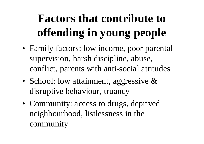## **Factors that contribute to offending in young people**

- Family factors: low income, poor parental supervision, harsh discipline, abuse, conflict, parents with anti-social attitudes
- School: low attainment, aggressive  $\&$ disruptive behaviour, truancy
- Community: access to drugs, deprived neighbourhood, listlessness in the community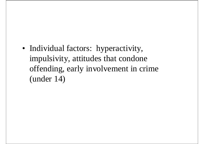• Individual factors: hyperactivity, impulsivity, attitudes that condone offending, early involvement in crime (under 14)